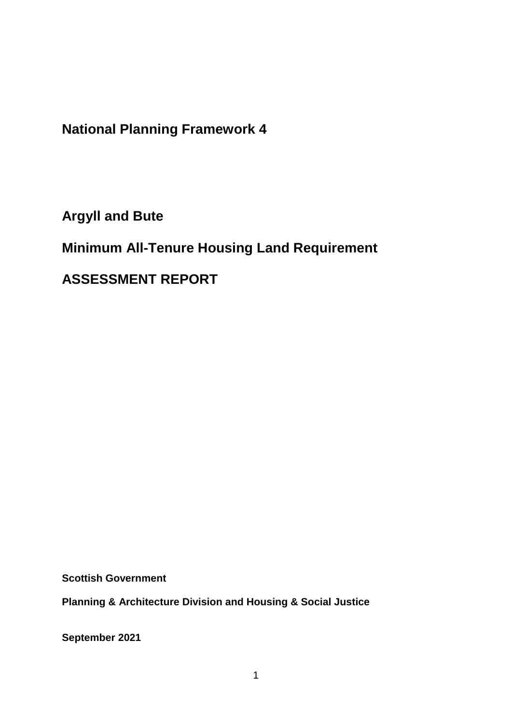**National Planning Framework 4**

**Argyll and Bute**

## **Minimum All-Tenure Housing Land Requirement**

**ASSESSMENT REPORT**

**Scottish Government**

**Planning & Architecture Division and Housing & Social Justice** 

**September 2021**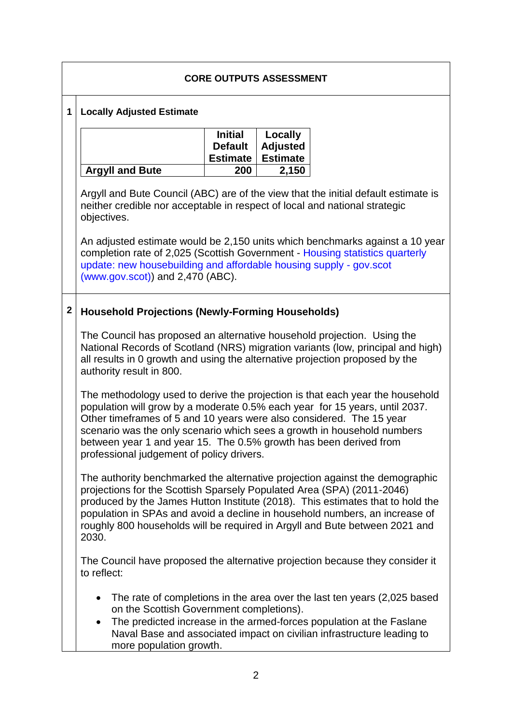|             | <b>CORE OUTPUTS ASSESSMENT</b>                                                                                                                                                                                                                                                                                                                                                                                                    |                                                     |                                               |                                                                                                                                                                                                                            |
|-------------|-----------------------------------------------------------------------------------------------------------------------------------------------------------------------------------------------------------------------------------------------------------------------------------------------------------------------------------------------------------------------------------------------------------------------------------|-----------------------------------------------------|-----------------------------------------------|----------------------------------------------------------------------------------------------------------------------------------------------------------------------------------------------------------------------------|
| 1           | <b>Locally Adjusted Estimate</b>                                                                                                                                                                                                                                                                                                                                                                                                  |                                                     |                                               |                                                                                                                                                                                                                            |
|             |                                                                                                                                                                                                                                                                                                                                                                                                                                   | <b>Initial</b><br><b>Default</b><br><b>Estimate</b> | Locally<br><b>Adjusted</b><br><b>Estimate</b> |                                                                                                                                                                                                                            |
|             | <b>Argyll and Bute</b>                                                                                                                                                                                                                                                                                                                                                                                                            | 200                                                 | 2,150                                         |                                                                                                                                                                                                                            |
|             | neither credible nor acceptable in respect of local and national strategic<br>objectives.                                                                                                                                                                                                                                                                                                                                         |                                                     |                                               | Argyll and Bute Council (ABC) are of the view that the initial default estimate is                                                                                                                                         |
|             | completion rate of 2,025 (Scottish Government - Housing statistics quarterly<br>update: new housebuilding and affordable housing supply - gov.scot<br>$(www.gov.scot)$ ) and 2,470 (ABC).                                                                                                                                                                                                                                         |                                                     |                                               | An adjusted estimate would be 2,150 units which benchmarks against a 10 year                                                                                                                                               |
| $\mathbf 2$ | <b>Household Projections (Newly-Forming Households)</b>                                                                                                                                                                                                                                                                                                                                                                           |                                                     |                                               |                                                                                                                                                                                                                            |
|             | The Council has proposed an alternative household projection. Using the<br>National Records of Scotland (NRS) migration variants (low, principal and high)<br>all results in 0 growth and using the alternative projection proposed by the<br>authority result in 800.                                                                                                                                                            |                                                     |                                               |                                                                                                                                                                                                                            |
|             | The methodology used to derive the projection is that each year the household<br>population will grow by a moderate 0.5% each year for 15 years, until 2037.<br>Other timeframes of 5 and 10 years were also considered. The 15 year<br>scenario was the only scenario which sees a growth in household numbers<br>between year 1 and year 15. The 0.5% growth has been derived from<br>professional judgement of policy drivers. |                                                     |                                               |                                                                                                                                                                                                                            |
|             | The authority benchmarked the alternative projection against the demographic<br>projections for the Scottish Sparsely Populated Area (SPA) (2011-2046)<br>produced by the James Hutton Institute (2018). This estimates that to hold the<br>population in SPAs and avoid a decline in household numbers, an increase of<br>roughly 800 households will be required in Argyll and Bute between 2021 and<br>2030.                   |                                                     |                                               |                                                                                                                                                                                                                            |
|             | to reflect:                                                                                                                                                                                                                                                                                                                                                                                                                       |                                                     |                                               | The Council have proposed the alternative projection because they consider it                                                                                                                                              |
|             | $\bullet$<br>on the Scottish Government completions).<br>$\bullet$<br>more population growth.                                                                                                                                                                                                                                                                                                                                     |                                                     |                                               | The rate of completions in the area over the last ten years (2,025 based<br>The predicted increase in the armed-forces population at the Faslane<br>Naval Base and associated impact on civilian infrastructure leading to |
|             |                                                                                                                                                                                                                                                                                                                                                                                                                                   |                                                     |                                               |                                                                                                                                                                                                                            |
|             |                                                                                                                                                                                                                                                                                                                                                                                                                                   | $\overline{2}$                                      |                                               |                                                                                                                                                                                                                            |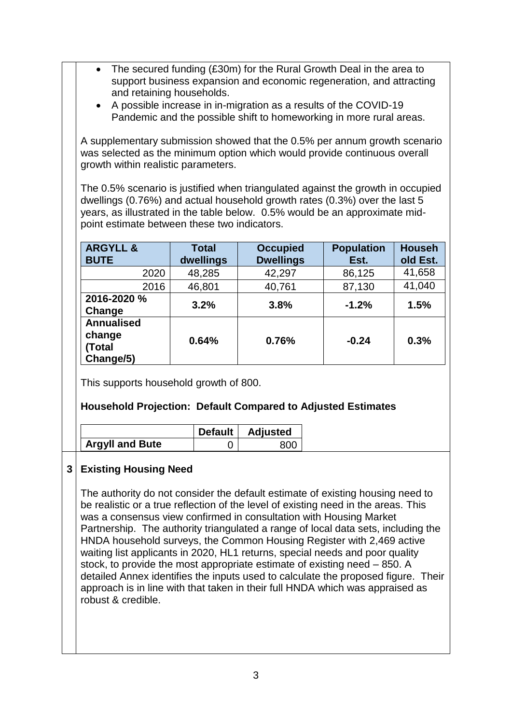- The secured funding (£30m) for the Rural Growth Deal in the area to support business expansion and economic regeneration, and attracting and retaining households.
	- A possible increase in in-migration as a results of the COVID-19 Pandemic and the possible shift to homeworking in more rural areas.

A supplementary submission showed that the 0.5% per annum growth scenario was selected as the minimum option which would provide continuous overall growth within realistic parameters.

The 0.5% scenario is justified when triangulated against the growth in occupied dwellings (0.76%) and actual household growth rates (0.3%) over the last 5 years, as illustrated in the table below. 0.5% would be an approximate midpoint estimate between these two indicators.

| <b>ARGYLL &amp;</b><br><b>BUTE</b>                 | <b>Total</b><br>dwellings | <b>Occupied</b><br><b>Dwellings</b> | <b>Population</b><br>Est. | <b>Househ</b><br>old Est. |
|----------------------------------------------------|---------------------------|-------------------------------------|---------------------------|---------------------------|
| 2020                                               | 48,285                    | 42,297                              | 86,125                    | 41,658                    |
| 2016                                               | 46,801                    | 40,761                              | 87,130                    | 41,040                    |
| 2016-2020 %<br>Change                              | 3.2%                      | 3.8%                                | $-1.2%$                   | 1.5%                      |
| <b>Annualised</b><br>change<br>(Total<br>Change/5) | 0.64%                     | 0.76%                               | $-0.24$                   | 0.3%                      |

This supports household growth of 800.

## **Household Projection: Default Compared to Adjusted Estimates**

|                        | Default   Adjusted |
|------------------------|--------------------|
| <b>Argyll and Bute</b> | RU                 |

## **3 Existing Housing Need**

The authority do not consider the default estimate of existing housing need to be realistic or a true reflection of the level of existing need in the areas. This was a consensus view confirmed in consultation with Housing Market Partnership. The authority triangulated a range of local data sets, including the HNDA household surveys, the Common Housing Register with 2,469 active waiting list applicants in 2020, HL1 returns, special needs and poor quality stock, to provide the most appropriate estimate of existing need – 850. A detailed Annex identifies the inputs used to calculate the proposed figure. Their approach is in line with that taken in their full HNDA which was appraised as robust & credible.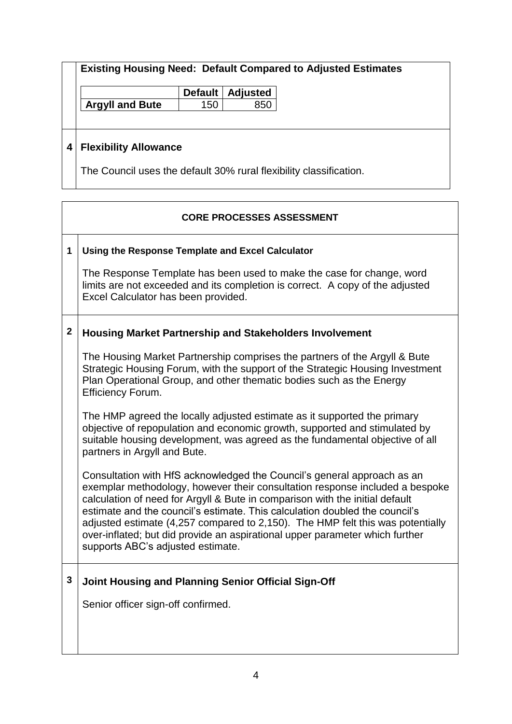|   | <b>Existing Housing Need: Default Compared to Adjusted Estimates</b> |                |                 |  |
|---|----------------------------------------------------------------------|----------------|-----------------|--|
|   |                                                                      | <b>Default</b> | <b>Adjusted</b> |  |
|   | <b>Argyll and Bute</b>                                               | 150            | 850             |  |
|   |                                                                      |                |                 |  |
| 4 | <b>Flexibility Allowance</b>                                         |                |                 |  |
|   | The Council uses the default 30% rural flexibility classification    |                |                 |  |

| The Council uses the detail $30\%$ rural hexibility classification. |  |
|---------------------------------------------------------------------|--|
|                                                                     |  |

 $\overline{\phantom{a}}$ 

|              | <b>CORE PROCESSES ASSESSMENT</b>                                                                                                                                                                                                                                                                                                                                                                                                                                                                                              |
|--------------|-------------------------------------------------------------------------------------------------------------------------------------------------------------------------------------------------------------------------------------------------------------------------------------------------------------------------------------------------------------------------------------------------------------------------------------------------------------------------------------------------------------------------------|
| $\mathbf{1}$ | Using the Response Template and Excel Calculator                                                                                                                                                                                                                                                                                                                                                                                                                                                                              |
|              | The Response Template has been used to make the case for change, word<br>limits are not exceeded and its completion is correct. A copy of the adjusted<br>Excel Calculator has been provided.                                                                                                                                                                                                                                                                                                                                 |
| $\mathbf{2}$ | Housing Market Partnership and Stakeholders Involvement                                                                                                                                                                                                                                                                                                                                                                                                                                                                       |
|              | The Housing Market Partnership comprises the partners of the Argyll & Bute<br>Strategic Housing Forum, with the support of the Strategic Housing Investment<br>Plan Operational Group, and other thematic bodies such as the Energy<br><b>Efficiency Forum.</b>                                                                                                                                                                                                                                                               |
|              | The HMP agreed the locally adjusted estimate as it supported the primary<br>objective of repopulation and economic growth, supported and stimulated by<br>suitable housing development, was agreed as the fundamental objective of all<br>partners in Argyll and Bute.                                                                                                                                                                                                                                                        |
|              | Consultation with HfS acknowledged the Council's general approach as an<br>exemplar methodology, however their consultation response included a bespoke<br>calculation of need for Argyll & Bute in comparison with the initial default<br>estimate and the council's estimate. This calculation doubled the council's<br>adjusted estimate (4,257 compared to 2,150). The HMP felt this was potentially<br>over-inflated; but did provide an aspirational upper parameter which further<br>supports ABC's adjusted estimate. |
| 3            | Joint Housing and Planning Senior Official Sign-Off                                                                                                                                                                                                                                                                                                                                                                                                                                                                           |
|              | Senior officer sign-off confirmed.                                                                                                                                                                                                                                                                                                                                                                                                                                                                                            |
|              |                                                                                                                                                                                                                                                                                                                                                                                                                                                                                                                               |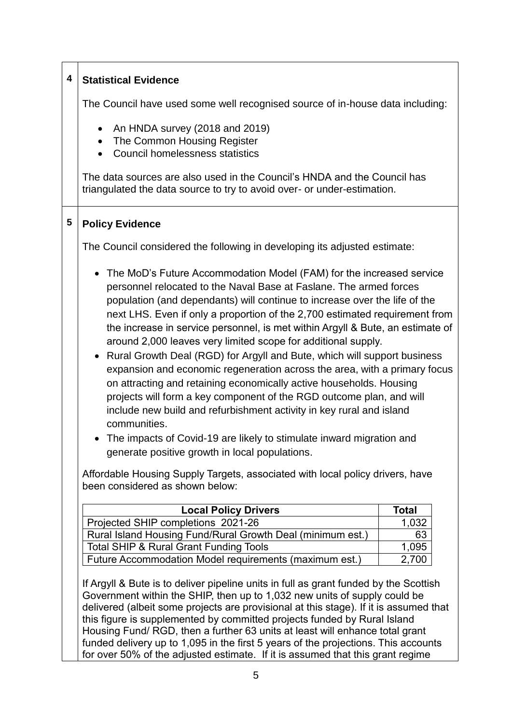| $\overline{\mathbf{4}}$ | <b>Statistical Evidence</b>                                                                                                                                                                                                                                                                                                                                                                                                                                                                                                                                                                                                                                                                                                                                                                                                                                                                                                                                                                                                                                                                                  |       |  |  |
|-------------------------|--------------------------------------------------------------------------------------------------------------------------------------------------------------------------------------------------------------------------------------------------------------------------------------------------------------------------------------------------------------------------------------------------------------------------------------------------------------------------------------------------------------------------------------------------------------------------------------------------------------------------------------------------------------------------------------------------------------------------------------------------------------------------------------------------------------------------------------------------------------------------------------------------------------------------------------------------------------------------------------------------------------------------------------------------------------------------------------------------------------|-------|--|--|
|                         | The Council have used some well recognised source of in-house data including:                                                                                                                                                                                                                                                                                                                                                                                                                                                                                                                                                                                                                                                                                                                                                                                                                                                                                                                                                                                                                                |       |  |  |
|                         | An HNDA survey (2018 and 2019)<br>$\bullet$<br>The Common Housing Register<br><b>Council homelessness statistics</b>                                                                                                                                                                                                                                                                                                                                                                                                                                                                                                                                                                                                                                                                                                                                                                                                                                                                                                                                                                                         |       |  |  |
|                         | The data sources are also used in the Council's HNDA and the Council has<br>triangulated the data source to try to avoid over- or under-estimation.                                                                                                                                                                                                                                                                                                                                                                                                                                                                                                                                                                                                                                                                                                                                                                                                                                                                                                                                                          |       |  |  |
| 5                       | <b>Policy Evidence</b>                                                                                                                                                                                                                                                                                                                                                                                                                                                                                                                                                                                                                                                                                                                                                                                                                                                                                                                                                                                                                                                                                       |       |  |  |
|                         | The Council considered the following in developing its adjusted estimate:                                                                                                                                                                                                                                                                                                                                                                                                                                                                                                                                                                                                                                                                                                                                                                                                                                                                                                                                                                                                                                    |       |  |  |
|                         | • The MoD's Future Accommodation Model (FAM) for the increased service<br>personnel relocated to the Naval Base at Faslane. The armed forces<br>population (and dependants) will continue to increase over the life of the<br>next LHS. Even if only a proportion of the 2,700 estimated requirement from<br>the increase in service personnel, is met within Argyll & Bute, an estimate of<br>around 2,000 leaves very limited scope for additional supply.<br>• Rural Growth Deal (RGD) for Argyll and Bute, which will support business<br>expansion and economic regeneration across the area, with a primary focus<br>on attracting and retaining economically active households. Housing<br>projects will form a key component of the RGD outcome plan, and will<br>include new build and refurbishment activity in key rural and island<br>communities.<br>The impacts of Covid-19 are likely to stimulate inward migration and<br>generate positive growth in local populations.<br>Affordable Housing Supply Targets, associated with local policy drivers, have<br>been considered as shown below: |       |  |  |
|                         | <b>Local Policy Drivers</b>                                                                                                                                                                                                                                                                                                                                                                                                                                                                                                                                                                                                                                                                                                                                                                                                                                                                                                                                                                                                                                                                                  | Total |  |  |
|                         | Projected SHIP completions 2021-26                                                                                                                                                                                                                                                                                                                                                                                                                                                                                                                                                                                                                                                                                                                                                                                                                                                                                                                                                                                                                                                                           | 1,032 |  |  |
|                         | Rural Island Housing Fund/Rural Growth Deal (minimum est.)                                                                                                                                                                                                                                                                                                                                                                                                                                                                                                                                                                                                                                                                                                                                                                                                                                                                                                                                                                                                                                                   | 63    |  |  |
|                         | <b>Total SHIP &amp; Rural Grant Funding Tools</b>                                                                                                                                                                                                                                                                                                                                                                                                                                                                                                                                                                                                                                                                                                                                                                                                                                                                                                                                                                                                                                                            | 1,095 |  |  |
|                         | Future Accommodation Model requirements (maximum est.)<br>2,700<br>If Argyll & Bute is to deliver pipeline units in full as grant funded by the Scottish<br>Government within the SHIP, then up to 1,032 new units of supply could be<br>delivered (albeit some projects are provisional at this stage). If it is assumed that<br>this figure is supplemented by committed projects funded by Rural Island<br>Housing Fund/ RGD, then a further 63 units at least will enhance total grant<br>funded delivery up to 1,095 in the first 5 years of the projections. This accounts<br>for over 50% of the adjusted estimate. If it is assumed that this grant regime                                                                                                                                                                                                                                                                                                                                                                                                                                           |       |  |  |